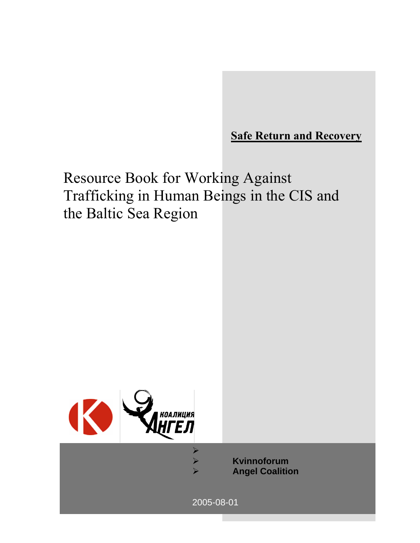**Safe Return and Recovery**

Resource Book for Working Against Trafficking in Human Beings in the CIS and the Baltic Sea Region



¾ **Kvinnoforum**  ¾ **Angel Coalition** 

1

2005-08-01

 $\blacktriangleright$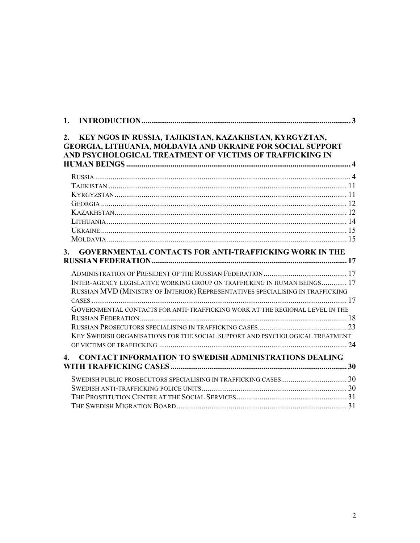| 1.           |                                                                                                                                                                                   |
|--------------|-----------------------------------------------------------------------------------------------------------------------------------------------------------------------------------|
| 2.           | KEY NGOS IN RUSSIA, TAJIKISTAN, KAZAKHSTAN, KYRGYZTAN,<br>GEORGIA, LITHUANIA, MOLDAVIA AND UKRAINE FOR SOCIAL SUPPORT<br>AND PSYCHOLOGICAL TREATMENT OF VICTIMS OF TRAFFICKING IN |
|              |                                                                                                                                                                                   |
|              |                                                                                                                                                                                   |
|              |                                                                                                                                                                                   |
|              |                                                                                                                                                                                   |
|              |                                                                                                                                                                                   |
|              |                                                                                                                                                                                   |
|              |                                                                                                                                                                                   |
|              |                                                                                                                                                                                   |
| 3.           | <b>GOVERNMENTAL CONTACTS FOR ANTI-TRAFFICKING WORK IN THE</b>                                                                                                                     |
|              |                                                                                                                                                                                   |
|              |                                                                                                                                                                                   |
|              | INTER-AGENCY LEGISLATIVE WORKING GROUP ON TRAFFICKING IN HUMAN BEINGS 17                                                                                                          |
|              | RUSSIAN MVD (MINISTRY OF INTERIOR) REPRESENTATIVES SPECIALISING IN TRAFFICKING                                                                                                    |
|              |                                                                                                                                                                                   |
|              | GOVERNMENTAL CONTACTS FOR ANTI-TRAFFICKING WORK AT THE REGIONAL LEVEL IN THE                                                                                                      |
|              |                                                                                                                                                                                   |
|              |                                                                                                                                                                                   |
|              | KEY SWEDISH ORGANISATIONS FOR THE SOCIAL SUPPORT AND PSYCHOLOGICAL TREATMENT                                                                                                      |
|              |                                                                                                                                                                                   |
| $\mathbf{4}$ | <b>CONTACT INFORMATION TO SWEDISH ADMINISTRATIONS DEALING</b>                                                                                                                     |
|              |                                                                                                                                                                                   |
|              |                                                                                                                                                                                   |
|              |                                                                                                                                                                                   |
|              |                                                                                                                                                                                   |
|              |                                                                                                                                                                                   |
|              |                                                                                                                                                                                   |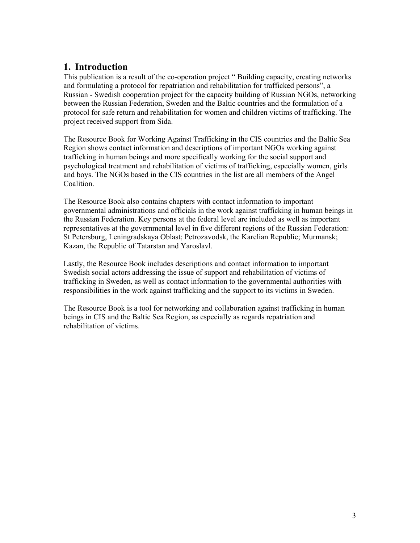# **1. Introduction**

This publication is a result of the co-operation project " Building capacity, creating networks and formulating a protocol for repatriation and rehabilitation for trafficked persons", a Russian - Swedish cooperation project for the capacity building of Russian NGOs, networking between the Russian Federation, Sweden and the Baltic countries and the formulation of a protocol for safe return and rehabilitation for women and children victims of trafficking. The project received support from Sida.

The Resource Book for Working Against Trafficking in the CIS countries and the Baltic Sea Region shows contact information and descriptions of important NGOs working against trafficking in human beings and more specifically working for the social support and psychological treatment and rehabilitation of victims of trafficking, especially women, girls and boys. The NGOs based in the CIS countries in the list are all members of the Angel **Coalition** 

The Resource Book also contains chapters with contact information to important governmental administrations and officials in the work against trafficking in human beings in the Russian Federation. Key persons at the federal level are included as well as important representatives at the governmental level in five different regions of the Russian Federation: St Petersburg, Leningradskaya Oblast; Petrozavodsk, the Karelian Republic; Murmansk; Kazan, the Republic of Tatarstan and Yaroslavl.

Lastly, the Resource Book includes descriptions and contact information to important Swedish social actors addressing the issue of support and rehabilitation of victims of trafficking in Sweden, as well as contact information to the governmental authorities with responsibilities in the work against trafficking and the support to its victims in Sweden.

The Resource Book is a tool for networking and collaboration against trafficking in human beings in CIS and the Baltic Sea Region, as especially as regards repatriation and rehabilitation of victims.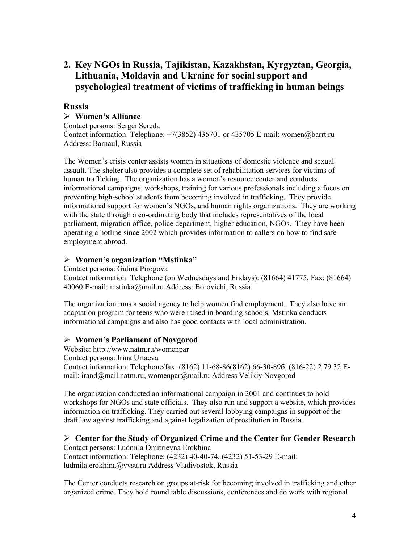# **2. Key NGOs in Russia, Tajikistan, Kazakhstan, Kyrgyztan, Georgia, Lithuania, Moldavia and Ukraine for social support and psychological treatment of victims of trafficking in human beings**

### **Russia**

### ¾ **Women's Alliance**

Contact persons: Sergei Sereda Contact information: Telephone: +7(3852) 435701 or 435705 E-mail: women@barrt.ru Address: Barnaul, Russia

The Women's crisis center assists women in situations of domestic violence and sexual assault. The shelter also provides a complete set of rehabilitation services for victims of human trafficking. The organization has a women's resource center and conducts informational campaigns, workshops, training for various professionals including a focus on preventing high-school students from becoming involved in trafficking. They provide informational support for women's NGOs, and human rights organizations. They are working with the state through a co-ordinating body that includes representatives of the local parliament, migration office, police department, higher education, NGOs. They have been operating a hotline since 2002 which provides information to callers on how to find safe employment abroad.

### ¾ **Women's organization "Mstinka"**

Contact persons: Galina Pirogova Contact information: Telephone (on Wednesdays and Fridays): (81664) 41775, Fax: (81664) 40060 E-mail: mstinka@mail.ru Address: Borovichi, Russia

The organization runs a social agency to help women find employment. They also have an adaptation program for teens who were raised in boarding schools. Mstinka conducts informational campaigns and also has good contacts with local administration.

#### ¾ **Women's Parliament of Novgorod**

Website: http://www.natm.ru/womenpar Contact persons: Irina Urtaeva Contact information: Telephone/fax: (8162) 11-68-86(8162) 66-30-89б, (816-22) 2 79 32 Email: irand@mail.natm.ru, womenpar@mail.ru Address Velikiy Novgorod

The organization conducted an informational campaign in 2001 and continues to hold workshops for NGOs and state officials. They also run and support a website, which provides information on trafficking. They carried out several lobbying campaigns in support of the draft law against trafficking and against legalization of prostitution in Russia.

### ¾ **Center for the Study of Organized Crime and the Center for Gender Research**

Contact persons: Ludmila Dmitrievna Erokhina Contact information: Telephone: (4232) 40-40-74, (4232) 51-53-29 E-mail: ludmila.erokhina@vvsu.ru Address Vladivostok, Russia

The Center conducts research on groups at-risk for becoming involved in trafficking and other organized crime. They hold round table discussions, conferences and do work with regional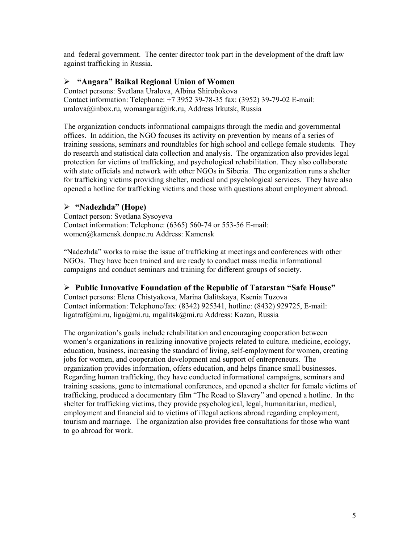and federal government. The center director took part in the development of the draft law against trafficking in Russia.

#### ¾ **"Angara" Baikal Regional Union of Women**

Contact persons: Svetlana Uralova, Albina Shirobokova Contact information: Telephone: +7 3952 39-78-35 fax: (3952) 39-79-02 E-mail: uralova@inbox.ru, womangara@irk.ru, Address Irkutsk, Russia

The organization conducts informational campaigns through the media and governmental offices. In addition, the NGO focuses its activity on prevention by means of a series of training sessions, seminars and roundtables for high school and college female students. They do research and statistical data collection and analysis. The organization also provides legal protection for victims of trafficking, and psychological rehabilitation. They also collaborate with state officials and network with other NGOs in Siberia. The organization runs a shelter for trafficking victims providing shelter, medical and psychological services. They have also opened a hotline for trafficking victims and those with questions about employment abroad.

#### ¾ **"Nadezhda" (Hope)**

Contact person: Svetlana Sysoyeva Contact information: Telephone: (6365) 560-74 or 553-56 E-mail: women@kamensk.donpac.ru Address: Kamensk

"Nadezhda" works to raise the issue of trafficking at meetings and conferences with other NGOs. They have been trained and are ready to conduct mass media informational campaigns and conduct seminars and training for different groups of society.

#### ¾ **Public Innovative Foundation of the Republic of Tatarstan "Safe House"**

Contact persons: Elena Chistyakova, Marina Galitskaya, Ksenia Tuzova Contact information: Telephone/fax: (8342) 925341, hotline: (8432) 929725, E-mail: ligatraf@mi.ru, liga@mi.ru, mgalitsk@mi.ru Address: Kazan, Russia

The organization's goals include rehabilitation and encouraging cooperation between women's organizations in realizing innovative projects related to culture, medicine, ecology, education, business, increasing the standard of living, self-employment for women, creating jobs for women, and cooperation development and support of entrepreneurs. The organization provides information, offers education, and helps finance small businesses. Regarding human trafficking, they have conducted informational campaigns, seminars and training sessions, gone to international conferences, and opened a shelter for female victims of trafficking, produced a documentary film "The Road to Slavery" and opened a hotline. In the shelter for trafficking victims, they provide psychological, legal, humanitarian, medical, employment and financial aid to victims of illegal actions abroad regarding employment, tourism and marriage. The organization also provides free consultations for those who want to go abroad for work.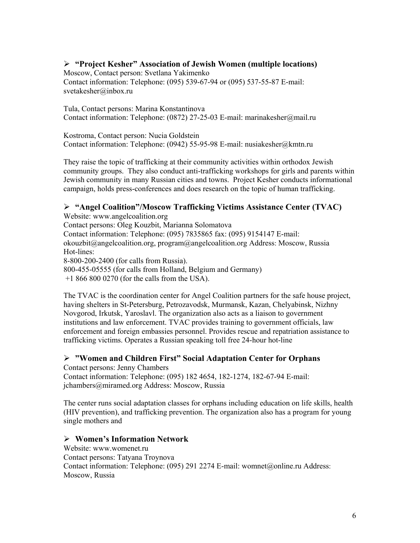### ¾ **"Project Kesher" Association of Jewish Women (multiple locations)**

Moscow, Contact person: Svetlana Yakimenko Contact information: Telephone: (095) 539-67-94 or (095) 537-55-87 E-mail:

svetakesher@inbox.ru

Tula, Contact persons: Marina Konstantinova Contact information: Telephone: (0872) 27-25-03 E-mail: marinakesher@mail.ru

Kostroma, Contact person: Nucia Goldstein Contact information: Telephone: (0942) 55-95-98 E-mail: nusiakesher@kmtn.ru

They raise the topic of trafficking at their community activities within orthodox Jewish community groups. They also conduct anti-trafficking workshops for girls and parents within Jewish community in many Russian cities and towns. Project Kesher conducts informational campaign, holds press-conferences and does research on the topic of human trafficking.

### ¾ **"Angel Coalition"/Moscow Trafficking Victims Assistance Center (TVAC)**

Website: www.angelcoalition.org Contact persons: Oleg Kouzbit, Marianna Solomatova Contact information: Telephone: (095) 7835865 fax: (095) 9154147 E-mail: okouzbit@angelcoalition.org, program@angelcoalition.org Address: Moscow, Russia Hot-lines: 8-800-200-2400 (for calls from Russia). 800-455-05555 (for calls from Holland, Belgium and Germany) +1 866 800 0270 (for the calls from the USA).

The TVAC is the coordination center for Angel Coalition partners for the safe house project, having shelters in St-Petersburg, Petrozavodsk, Murmansk, Kazan, Chelyabinsk, Nizhny Novgorod, Irkutsk, Yaroslavl. The organization also acts as a liaison to government institutions and law enforcement. TVAC provides training to government officials, law enforcement and foreign embassies personnel. Provides rescue and repatriation assistance to trafficking victims. Operates a Russian speaking toll free 24-hour hot-line

### ¾ **"Women and Children First" Social Adaptation Center for Orphans**

Contact persons: Jenny Chambers Contact information: Telephone: (095) 182 4654, 182-1274, 182-67-94 E-mail: jchambers@miramed.org Address: Moscow, Russia

The center runs social adaptation classes for orphans including education on life skills, health (HIV prevention), and trafficking prevention. The organization also has a program for young single mothers and

### ¾ **Women's Information Network**

Website: www.womenet.ru Contact persons: Tatyana Troynova Contact information: Telephone: (095) 291 2274 E-mail: womnet@online.ru Address: Moscow, Russia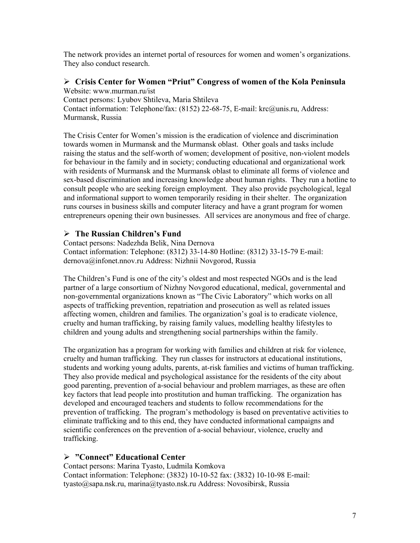The network provides an internet portal of resources for women and women's organizations. They also conduct research.

# ¾ **Crisis Center for Women "Priut" Congress of women of the Kola Peninsula**

Website: www.murman.ru/ist Contact persons: Lyubov Shtileva, Maria Shtileva Contact information: Telephone/fax: (8152) 22-68-75, E-mail: krc@unis.ru, Address: Murmansk, Russia

The Crisis Center for Women's mission is the eradication of violence and discrimination towards women in Murmansk and the Murmansk oblast. Other goals and tasks include raising the status and the self-worth of women; development of positive, non-violent models for behaviour in the family and in society; conducting educational and organizational work with residents of Murmansk and the Murmansk oblast to eliminate all forms of violence and sex-based discrimination and increasing knowledge about human rights. They run a hotline to consult people who are seeking foreign employment. They also provide psychological, legal and informational support to women temporarily residing in their shelter. The organization runs courses in business skills and computer literacy and have a grant program for women entrepreneurs opening their own businesses. All services are anonymous and free of charge.

### ¾ **The Russian Children's Fund**

Contact persons: Nadezhda Belik, Nina Dernova Contact information: Telephone: (8312) 33-14-80 Hotline: (8312) 33-15-79 E-mail: dernova@infonet.nnov.ru Address: Nizhnii Novgorod, Russia

The Children's Fund is one of the city's oldest and most respected NGOs and is the lead partner of a large consortium of Nizhny Novgorod educational, medical, governmental and non-governmental organizations known as "The Civic Laboratory" which works on all aspects of trafficking prevention, repatriation and prosecution as well as related issues affecting women, children and families. The organization's goal is to eradicate violence, cruelty and human trafficking, by raising family values, modelling healthy lifestyles to children and young adults and strengthening social partnerships within the family.

The organization has a program for working with families and children at risk for violence, cruelty and human trafficking. They run classes for instructors at educational institutions, students and working young adults, parents, at-risk families and victims of human trafficking. They also provide medical and psychological assistance for the residents of the city about good parenting, prevention of a-social behaviour and problem marriages, as these are often key factors that lead people into prostitution and human trafficking. The organization has developed and encouraged teachers and students to follow recommendations for the prevention of trafficking. The program's methodology is based on preventative activities to eliminate trafficking and to this end, they have conducted informational campaigns and scientific conferences on the prevention of a-social behaviour, violence, cruelty and trafficking.

#### ¾ **"Connect" Educational Center**

Contact persons: Marina Tyasto, Ludmila Komkova Contact information: Telephone: (3832) 10-10-52 fax: (3832) 10-10-98 E-mail: tyasto@sapa.nsk.ru, marina@tyasto.nsk.ru Address: Novosibirsk, Russia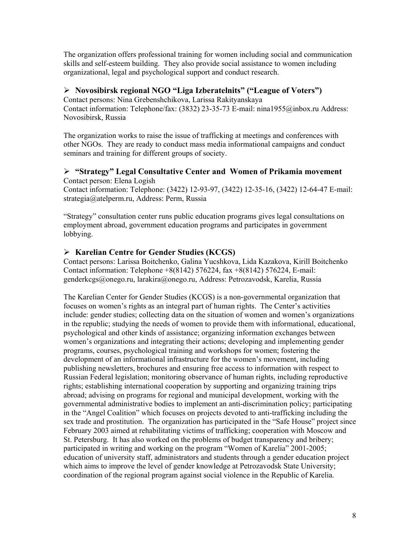The organization offers professional training for women including social and communication skills and self-esteem building. They also provide social assistance to women including organizational, legal and psychological support and conduct research.

#### ¾ **Novosibirsk regional NGO "Liga Izberatelnits" ("League of Voters")**

Contact persons: Nina Grebenshchikova, Larissa Rakityanskaya Contact information: Telephone/fax: (3832) 23-35-73 E-mail: nina1955@inbox.ru Address: Novosibirsk, Russia

The organization works to raise the issue of trafficking at meetings and conferences with other NGOs. They are ready to conduct mass media informational campaigns and conduct seminars and training for different groups of society.

#### ¾ **"Strategy" Legal Consultative Center and Women of Prikamia movement**  Contact person: Elena Logish

Contact information: Telephone: (3422) 12-93-97, (3422) 12-35-16, (3422) 12-64-47 E-mail: strategia@atelperm.ru, Address: Perm, Russia

"Strategy" consultation center runs public education programs gives legal consultations on employment abroad, government education programs and participates in government lobbying.

### ¾ **Karelian Centre for Gender Studies (KCGS)**

Contact persons: Larissa Boitchenko, Galina Yucshkova, Lida Kazakova, Kirill Boitchenko Contact information: Telephone +8(8142) 576224, fax +8(8142) 576224, E-mail: genderkcgs@onego.ru, larakira@onego.ru, Address: Petrozavodsk, Karelia, Russia

The Karelian Center for Gender Studies (KCGS) is a non-governmental organization that focuses on women's rights as an integral part of human rights. The Center's activities include: gender studies; collecting data on the situation of women and women's organizations in the republic; studying the needs of women to provide them with informational, educational, psychological and other kinds of assistance; organizing information exchanges between women's organizations and integrating their actions; developing and implementing gender programs, courses, psychological training and workshops for women; fostering the development of an informational infrastructure for the women's movement, including publishing newsletters, brochures and ensuring free access to information with respect to Russian Federal legislation; monitoring observance of human rights, including reproductive rights; establishing international cooperation by supporting and organizing training trips abroad; advising on programs for regional and municipal development, working with the governmental administrative bodies to implement an anti-discrimination policy; participating in the "Angel Coalition" which focuses on projects devoted to anti-trafficking including the sex trade and prostitution. The organization has participated in the "Safe House" project since February 2003 aimed at rehabilitating victims of trafficking; cooperation with Moscow and St. Petersburg. It has also worked on the problems of budget transparency and bribery; participated in writing and working on the program "Women of Karelia" 2001-2005; education of university staff, administrators and students through a gender education project which aims to improve the level of gender knowledge at Petrozavodsk State University; coordination of the regional program against social violence in the Republic of Karelia.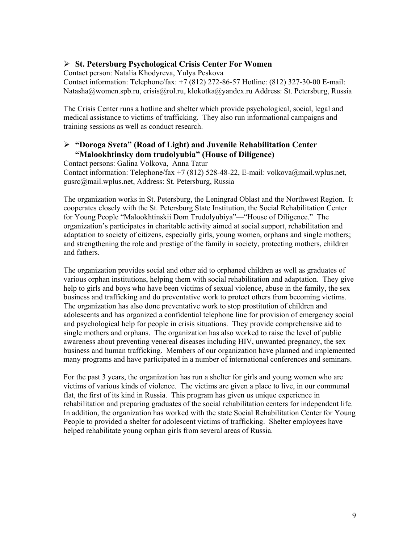#### ¾ **St. Petersburg Psychological Crisis Center For Women**

Contact person: Natalia Khodyreva, Yulya Peskova

Contact information: Telephone/fax: +7 (812) 272-86-57 Hotline: (812) 327-30-00 E-mail: Natasha@women.spb.ru, crisis@rol.ru, klokotka@yandex.ru Address: St. Petersburg, Russia

The Crisis Center runs a hotline and shelter which provide psychological, social, legal and medical assistance to victims of trafficking. They also run informational campaigns and training sessions as well as conduct research.

#### ¾ **"Doroga Sveta" (Road of Light) and Juvenile Rehabilitation Center "Malookhtinsky dom trudolyubia" (House of Diligence)**

Contact persons: Galina Volkova, Anna Tatur Contact information: Telephone/fax +7 (812) 528-48-22, E-mail: volkova@mail.wplus.net, gusrc@mail.wplus.net, Address: St. Petersburg, Russia

The organization works in St. Petersburg, the Leningrad Oblast and the Northwest Region. It cooperates closely with the St. Petersburg State Institution, the Social Rehabilitation Center for Young People "Malookhtinskii Dom Trudolyubiya"—"House of Diligence." The organization's participates in charitable activity aimed at social support, rehabilitation and adaptation to society of citizens, especially girls, young women, orphans and single mothers; and strengthening the role and prestige of the family in society, protecting mothers, children and fathers.

The organization provides social and other aid to orphaned children as well as graduates of various orphan institutions, helping them with social rehabilitation and adaptation. They give help to girls and boys who have been victims of sexual violence, abuse in the family, the sex business and trafficking and do preventative work to protect others from becoming victims. The organization has also done preventative work to stop prostitution of children and adolescents and has organized a confidential telephone line for provision of emergency social and psychological help for people in crisis situations. They provide comprehensive aid to single mothers and orphans. The organization has also worked to raise the level of public awareness about preventing venereal diseases including HIV, unwanted pregnancy, the sex business and human trafficking. Members of our organization have planned and implemented many programs and have participated in a number of international conferences and seminars.

For the past 3 years, the organization has run a shelter for girls and young women who are victims of various kinds of violence. The victims are given a place to live, in our communal flat, the first of its kind in Russia. This program has given us unique experience in rehabilitation and preparing graduates of the social rehabilitation centers for independent life. In addition, the organization has worked with the state Social Rehabilitation Center for Young People to provided a shelter for adolescent victims of trafficking. Shelter employees have helped rehabilitate young orphan girls from several areas of Russia.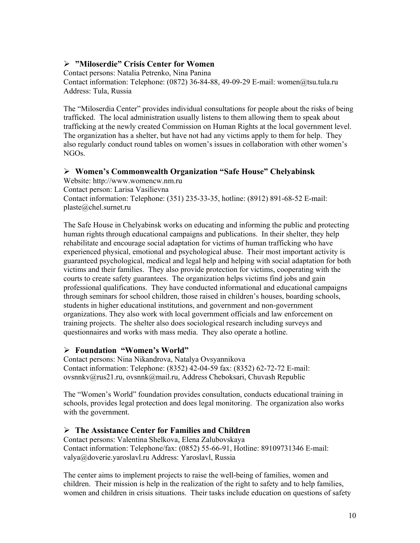### ¾ **"Miloserdie" Crisis Center for Women**

Contact persons: Natalia Petrenko, Nina Panina Contact information: Telephone: (0872) 36-84-88, 49-09-29 E-mail: women@tsu.tula.ru Address: Tula, Russia

The "Miloserdia Center" provides individual consultations for people about the risks of being trafficked. The local administration usually listens to them allowing them to speak about trafficking at the newly created Commission on Human Rights at the local government level. The organization has a shelter, but have not had any victims apply to them for help. They also regularly conduct round tables on women's issues in collaboration with other women's NGOs.

### ¾ **Women's Commonwealth Organization "Safe House" Chelyabinsk**

Website: http://www.womencw.nm.ru Contact person: Larisa Vasilievna Contact information: Telephone: (351) 235-33-35, hotline: (8912) 891-68-52 E-mail: plaste@chel.surnet.ru

The Safe House in Chelyabinsk works on educating and informing the public and protecting human rights through educational campaigns and publications. In their shelter, they help rehabilitate and encourage social adaptation for victims of human trafficking who have experienced physical, emotional and psychological abuse. Their most important activity is guaranteed psychological, medical and legal help and helping with social adaptation for both victims and their families. They also provide protection for victims, cooperating with the courts to create safety guarantees. The organization helps victims find jobs and gain professional qualifications. They have conducted informational and educational campaigns through seminars for school children, those raised in children's houses, boarding schools, students in higher educational institutions, and government and non-government organizations. They also work with local government officials and law enforcement on training projects. The shelter also does sociological research including surveys and questionnaires and works with mass media. They also operate a hotline.

### ¾ **Foundation "Women's World"**

Contact persons: Nina Nikandrova, Natalya Ovsyannikova Contact information: Telephone: (8352) 42-04-59 fax: (8352) 62-72-72 E-mail: ovsnnkv@rus21.ru, ovsnnk@mail.ru, Address Cheboksari, Chuvash Republic

The "Women's World" foundation provides consultation, conducts educational training in schools, provides legal protection and does legal monitoring. The organization also works with the government.

### ¾ **The Assistance Center for Families and Children**

Contact persons: Valentina Shelkova, Elena Zalubovskaya Contact information: Telephone/fax: (0852) 55-66-91, Hotline: 89109731346 E-mail: valya@doverie.yaroslavl.ru Address: Yaroslavl, Russia

The center aims to implement projects to raise the well-being of families, women and children. Their mission is help in the realization of the right to safety and to help families, women and children in crisis situations. Their tasks include education on questions of safety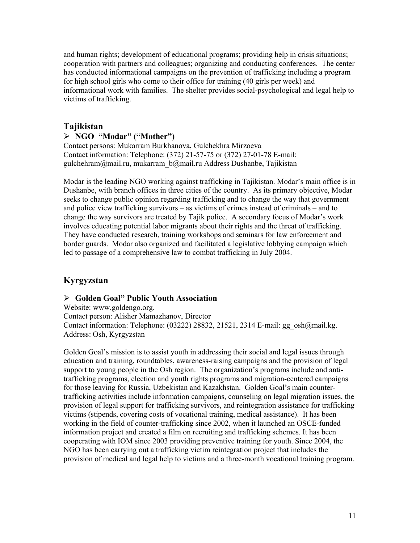and human rights; development of educational programs; providing help in crisis situations; cooperation with partners and colleagues; organizing and conducting conferences. The center has conducted informational campaigns on the prevention of trafficking including a program for high school girls who come to their office for training (40 girls per week) and informational work with families. The shelter provides social-psychological and legal help to victims of trafficking.

### **Tajikistan**

#### ¾ **NGO "Modar" ("Mother")**

Contact persons: Mukarram Burkhanova, Gulchekhra Mirzoeva Contact information: Telephone: (372) 21-57-75 or (372) 27-01-78 E-mail: gulchehram@mail.ru, mukarram\_b@mail.ru Address Dushanbe, Tajikistan

Modar is the leading NGO working against trafficking in Tajikistan. Modar's main office is in Dushanbe, with branch offices in three cities of the country. As its primary objective, Modar seeks to change public opinion regarding trafficking and to change the way that government and police view trafficking survivors – as victims of crimes instead of criminals – and to change the way survivors are treated by Tajik police. A secondary focus of Modar's work involves educating potential labor migrants about their rights and the threat of trafficking. They have conducted research, training workshops and seminars for law enforcement and border guards. Modar also organized and facilitated a legislative lobbying campaign which led to passage of a comprehensive law to combat trafficking in July 2004.

### **Kyrgyzstan**

#### ¾ **Golden Goal" Public Youth Association**

Website: www.goldengo.org. Contact person: Alisher Mamazhanov, Director Contact information: Telephone: (03222) 28832, 21521, 2314 E-mail: gg\_osh@mail.kg. Address: Osh, Kyrgyzstan

Golden Goal's mission is to assist youth in addressing their social and legal issues through education and training, roundtables, awareness-raising campaigns and the provision of legal support to young people in the Osh region. The organization's programs include and antitrafficking programs, election and youth rights programs and migration-centered campaigns for those leaving for Russia, Uzbekistan and Kazakhstan. Golden Goal's main countertrafficking activities include information campaigns, counseling on legal migration issues, the provision of legal support for trafficking survivors, and reintegration assistance for trafficking victims (stipends, covering costs of vocational training, medical assistance). It has been working in the field of counter-trafficking since 2002, when it launched an OSCE-funded information project and created a film on recruiting and trafficking schemes. It has been cooperating with IOM since 2003 providing preventive training for youth. Since 2004, the NGO has been carrying out a trafficking victim reintegration project that includes the provision of medical and legal help to victims and a three-month vocational training program.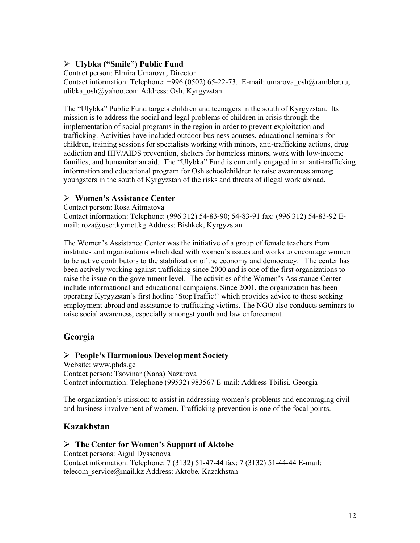### ¾ **Ulybka ("Smile") Public Fund**

Contact person: Elmira Umarova, Director Contact information: Telephone: +996 (0502) 65-22-73. E-mail: umarova\_osh@rambler.ru, ulibka\_osh@yahoo.com Address: Osh, Kyrgyzstan

The "Ulybka" Public Fund targets children and teenagers in the south of Kyrgyzstan. Its mission is to address the social and legal problems of children in crisis through the implementation of social programs in the region in order to prevent exploitation and trafficking. Activities have included outdoor business courses, educational seminars for children, training sessions for specialists working with minors, anti-trafficking actions, drug addiction and HIV/AIDS prevention, shelters for homeless minors, work with low-income families, and humanitarian aid. The "Ulybka" Fund is currently engaged in an anti-trafficking information and educational program for Osh schoolchildren to raise awareness among youngsters in the south of Kyrgyzstan of the risks and threats of illegal work abroad.

### ¾ **Women's Assistance Center**

Contact person: Rosa Aitmatova Contact information: Telephone: (996 312) 54-83-90; 54-83-91 fax: (996 312) 54-83-92 Email: roza@user.kyrnet.kg Address: Bishkek, Kyrgyzstan

The Women's Assistance Center was the initiative of a group of female teachers from institutes and organizations which deal with women's issues and works to encourage women to be active contributors to the stabilization of the economy and democracy. The center has been actively working against trafficking since 2000 and is one of the first organizations to raise the issue on the government level. The activities of the Women's Assistance Center include informational and educational campaigns. Since 2001, the organization has been operating Kyrgyzstan's first hotline 'StopTraffic!' which provides advice to those seeking employment abroad and assistance to trafficking victims. The NGO also conducts seminars to raise social awareness, especially amongst youth and law enforcement.

### **Georgia**

#### ¾ **People's Harmonious Development Society**

Website: www.phds.ge Contact person: Tsovinar (Nana) Nazarova Contact information: Telephone (99532) 983567 E-mail: Address Tbilisi, Georgia

The organization's mission: to assist in addressing women's problems and encouraging civil and business involvement of women. Trafficking prevention is one of the focal points.

### **Kazakhstan**

#### ¾ **The Center for Women's Support of Aktobe**

Contact persons: Aigul Dyssenova Contact information: Telephone: 7 (3132) 51-47-44 fax: 7 (3132) 51-44-44 E-mail: telecom service@mail.kz Address: Aktobe, Kazakhstan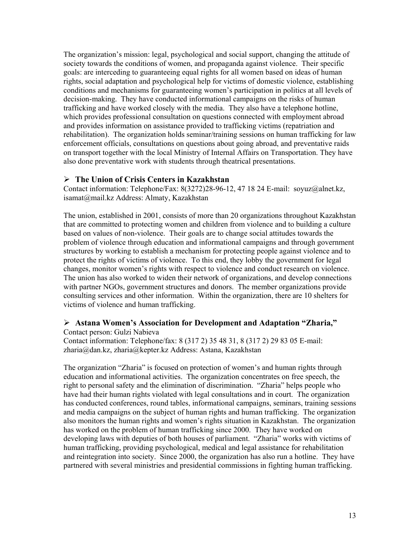The organization's mission: legal, psychological and social support, changing the attitude of society towards the conditions of women, and propaganda against violence. Their specific goals: are interceding to guaranteeing equal rights for all women based on ideas of human rights, social adaptation and psychological help for victims of domestic violence, establishing conditions and mechanisms for guaranteeing women's participation in politics at all levels of decision-making. They have conducted informational campaigns on the risks of human trafficking and have worked closely with the media. They also have a telephone hotline, which provides professional consultation on questions connected with employment abroad and provides information on assistance provided to trafficking victims (repatriation and rehabilitation). The organization holds seminar/training sessions on human trafficking for law enforcement officials, consultations on questions about going abroad, and preventative raids on transport together with the local Ministry of Internal Affairs on Transportation. They have also done preventative work with students through theatrical presentations.

#### ¾ **The Union of Crisis Centers in Kazakhstan**

Contact information: Telephone/Fax: 8(3272)28-96-12, 47 18 24 E-mail: soyuz@alnet.kz, isamat@mail.kz Address: Almaty, Kazakhstan

The union, established in 2001, consists of more than 20 organizations throughout Kazakhstan that are committed to protecting women and children from violence and to building a culture based on values of non-violence. Their goals are to change social attitudes towards the problem of violence through education and informational campaigns and through government structures by working to establish a mechanism for protecting people against violence and to protect the rights of victims of violence. To this end, they lobby the government for legal changes, monitor women's rights with respect to violence and conduct research on violence. The union has also worked to widen their network of organizations, and develop connections with partner NGOs, government structures and donors. The member organizations provide consulting services and other information. Within the organization, there are 10 shelters for victims of violence and human trafficking.

### ¾ **Astana Women's Association for Development and Adaptation "Zharia,"**

Contact person: Gulzi Nabieva Contact information: Telephone/fax: 8 (317 2) 35 48 31, 8 (317 2) 29 83 05 E-mail: zharia@dan.kz, zharia@kepter.kz Address: Astana, Kazakhstan

The organization "Zharia" is focused on protection of women's and human rights through education and informational activities. The organization concentrates on free speech, the right to personal safety and the elimination of discrimination. "Zharia" helps people who have had their human rights violated with legal consultations and in court. The organization has conducted conferences, round tables, informational campaigns, seminars, training sessions and media campaigns on the subject of human rights and human trafficking. The organization also monitors the human rights and women's rights situation in Kazakhstan. The organization has worked on the problem of human trafficking since 2000. They have worked on developing laws with deputies of both houses of parliament. "Zharia" works with victims of human trafficking, providing psychological, medical and legal assistance for rehabilitation and reintegration into society. Since 2000, the organization has also run a hotline. They have partnered with several ministries and presidential commissions in fighting human trafficking.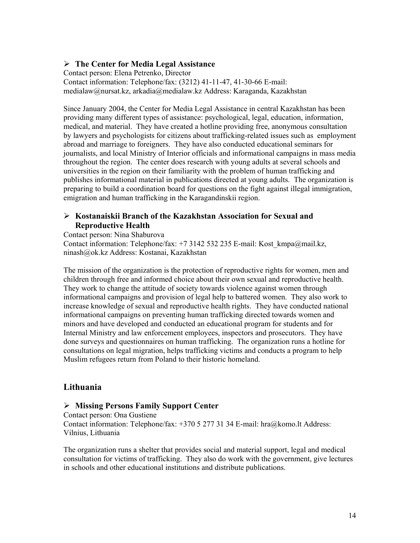#### ¾ **The Center for Media Legal Assistance**

Contact person: Elena Petrenko, Director Contact information: Telephone/fax: (3212) 41-11-47, 41-30-66 E-mail: medialaw@nursat.kz, arkadia@medialaw.kz Address: Karaganda, Kazakhstan

Since January 2004, the Center for Media Legal Assistance in central Kazakhstan has been providing many different types of assistance: psychological, legal, education, information, medical, and material. They have created a hotline providing free, anonymous consultation by lawyers and psychologists for citizens about trafficking-related issues such as employment abroad and marriage to foreigners. They have also conducted educational seminars for journalists, and local Ministry of Interior officials and informational campaigns in mass media throughout the region. The center does research with young adults at several schools and universities in the region on their familiarity with the problem of human trafficking and publishes informational material in publications directed at young adults. The organization is preparing to build a coordination board for questions on the fight against illegal immigration, emigration and human trafficking in the Karagandinskii region.

### ¾ **Kostanaiskii Branch of the Kazakhstan Association for Sexual and Reproductive Health**

Contact person: Nina Shaburova Contact information: Telephone/fax: +7 3142 532 235 E-mail: Kost\_kmpa@mail.kz, ninash@ok.kz Address: Kostanai, Kazakhstan

The mission of the organization is the protection of reproductive rights for women, men and children through free and informed choice about their own sexual and reproductive health. They work to change the attitude of society towards violence against women through informational campaigns and provision of legal help to battered women. They also work to increase knowledge of sexual and reproductive health rights. They have conducted national informational campaigns on preventing human trafficking directed towards women and minors and have developed and conducted an educational program for students and for Internal Ministry and law enforcement employees, inspectors and prosecutors. They have done surveys and questionnaires on human trafficking. The organization runs a hotline for consultations on legal migration, helps trafficking victims and conducts a program to help Muslim refugees return from Poland to their historic homeland.

### **Lithuania**

#### ¾ **Missing Persons Family Support Center**

Contact person: Ona Gustiene Contact information: Telephone/fax: +370 5 277 31 34 E-mail: hra@komo.lt Address: Vilnius, Lithuania

The organization runs a shelter that provides social and material support, legal and medical consultation for victims of trafficking. They also do work with the government, give lectures in schools and other educational institutions and distribute publications.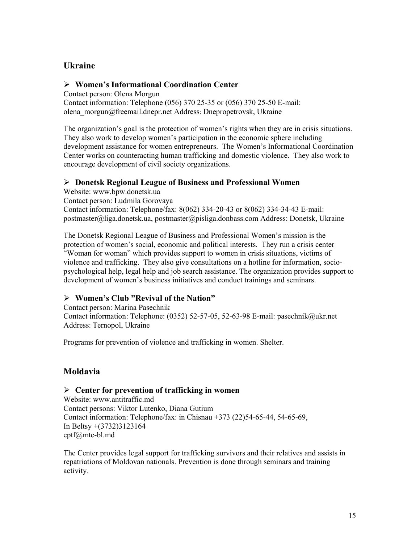### **Ukraine**

### ¾ **Women's Informational Coordination Center**

Contact person: Olena Morgun Contact information: Telephone (056) 370 25-35 or (056) 370 25-50 E-mail: olena\_morgun@freemail.dnepr.net Address: Dnepropetrovsk, Ukraine

The organization's goal is the protection of women's rights when they are in crisis situations. They also work to develop women's participation in the economic sphere including development assistance for women entrepreneurs. The Women's Informational Coordination Center works on counteracting human trafficking and domestic violence. They also work to encourage development of civil society organizations.

### ¾ **Donetsk Regional League of Business and Professional Women**

Website: www.bpw.donetsk.ua Contact person: Ludmila Gorovaya Contact information: Telephone/fax: 8(062) 334-20-43 or 8(062) 334-34-43 E-mail: postmaster@liga.donetsk.ua, postmaster@pisliga.donbass.com Address: Donetsk, Ukraine

The Donetsk Regional League of Business and Professional Women's mission is the protection of women's social, economic and political interests. They run a crisis center "Woman for woman" which provides support to women in crisis situations, victims of violence and trafficking. They also give consultations on a hotline for information, sociopsychological help, legal help and job search assistance. The organization provides support to development of women's business initiatives and conduct trainings and seminars.

### ¾ **Women's Club "Revival of the Nation"**

Contact person: Marina Pasechnik Contact information: Telephone: (0352) 52-57-05, 52-63-98 E-mail: pasechnik@ukr.net Address: Ternopol, Ukraine

Programs for prevention of violence and trafficking in women. Shelter.

# **Moldavia**

### ¾ **Center for prevention of trafficking in women**

Website: www.antitraffic.md Contact persons: Viktor Lutenko, Diana Gutium Contact information: Telephone/fax: in Chisnau +373 (22)54-65-44, 54-65-69, In Beltsy +(3732)3123164 cptf@mtc-bl.md

The Center provides legal support for trafficking survivors and their relatives and assists in repatriations of Moldovan nationals. Prevention is done through seminars and training activity.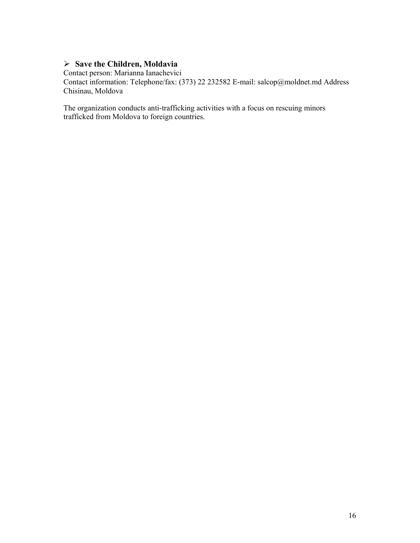### ¾ **Save the Children, Moldavia**

Contact person: Marianna Ianachevici

Contact information: Telephone/fax: (373) 22 232582 E-mail: salcop@moldnet.md Address Chisinau, Moldova

The organization conducts anti-trafficking activities with a focus on rescuing minors trafficked from Moldova to foreign countries.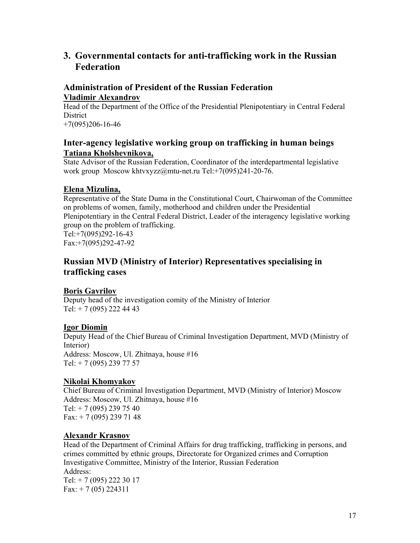# **3. Governmental contacts for anti-trafficking work in the Russian Federation**

### **Administration of President of the Russian Federation Vladimir Alexandrov**

Head of the Department of the Office of the Presidential Plenipotentiary in Central Federal **District** +7(095)206-16-46

### **Inter-agency legislative working group on trafficking in human beings Tatiana Kholshevnikova,**

State Advisor of the Russian Federation, Coordinator of the interdepartmental legislative work group Moscow khtvxyzz@mtu-net.ru Tel:+7(095)241-20-76.

### **Elena Mizulina,**

Representative of the State Duma in the Constitutional Court, Chairwoman of the Committee on problems of women, family, motherhood and children under the Presidential Plenipotentiary in the Central Federal District, Leader of the interagency legislative working group on the problem of trafficking. Tel:+7(095)292-16-43 Fax:+7(095)292-47-92

### **Russian MVD (Ministry of Interior) Representatives specialising in trafficking cases**

### **Boris Gavrilov**

Deputy head of the investigation comity of the Ministry of Interior Tel:  $+ 7 (095) 222 44 43$ 

#### **Igor Diomin**

Deputy Head of the Chief Bureau of Criminal Investigation Department, MVD (Ministry of Interior) Address: Moscow, Ul. Zhitnaya, house #16 Tel: + 7 (095) 239 77 57

### **Nikolai Khomyakov**

Chief Bureau of Criminal Investigation Department, MVD (Ministry of Interior) Moscow Address: Moscow, Ul. Zhitnaya, house #16 Tel:  $+ 7 (095) 239 75 40$ Fax:  $+ 7 (095) 239 71 48$ 

#### **Alexandr Krasnov**

Head of the Department of Criminal Affairs for drug trafficking, trafficking in persons, and crimes committed by ethnic groups, Directorate for Organized crimes and Corruption Investigative Committee, Ministry of the Interior, Russian Federation Address: Тel: + 7 (095) 222 30 17 Fax:  $+ 7(05) 224311$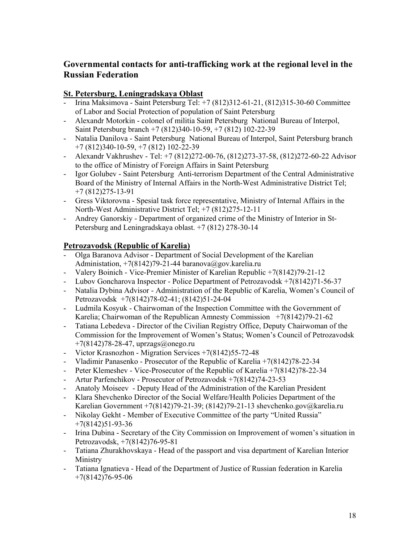# **Governmental contacts for anti-trafficking work at the regional level in the Russian Federation**

### **St. Petersburg, Leningradskaya Oblast**

- Irina Maksimova Saint Petersburg Tel: +7 (812)312-61-21, (812)315-30-60 Committee of Labor and Social Protection of population of Saint Petersburg
- Alexandr Motorkin colonel of militia Saint Petersburg National Bureau of Interpol, Saint Petersburg branch +7 (812)340-10-59, +7 (812) 102-22-39
- Natalia Danilova Saint Petersburg National Bureau of Interpol, Saint Petersburg branch +7 (812)340-10-59, +7 (812) 102-22-39
- Alexandr Vakhrushev Tel: +7 (812)272-00-76, (812)273-37-58, (812)272-60-22 Advisor to the office of Ministry of Foreign Affairs in Saint Petersburg
- Igor Golubev Saint Petersburg Anti-terrorism Department of the Central Administrative Board of the Ministry of Internal Affairs in the North-West Administrative District Tel; +7 (812)275-13-91
- Gress Viktorovna Spesial task force representative, Ministry of Internal Affairs in the North-West Administrative District Tel; +7 (812)275-12-11
- Andrey Ganorskiy Department of organized crime of the Ministry of Interior in St-Petersburg and Leningradskaya oblast. +7 (812) 278-30-14

### **Petrozavodsk (Republic of Karelia)**

- Olga Baranova Advisor Department of Social Development of the Karelian Administation,  $+7(8142)79-21-44$  baranova@gov.karelia.ru
- Valery Boinich Vice-Premier Minister of Karelian Republic +7(8142)79-21-12
- Lubov Goncharova Inspector Police Department of Petrozavodsk +7(8142)71-56-37
- Natalia Dybina Advisor Administration of the Republic of Karelia, Women's Council of Petrozavodsk +7(8142)78-02-41; (8142)51-24-04
- Ludmila Kosyuk Chairwoman of the Inspection Committee with the Government of Karelia; Chairwoman of the Republican Amnesty Commission +7(8142)79-21-62
- Tatiana Lebedeva Director of the Civilian Registry Office, Deputy Chairwoman of the Commission for the Improvement of Women's Status; Women's Council of Petrozavodsk  $+7(8142)78-28-47$ , uprzags@onego.ru
- Victor Krasnozhon Migration Services +7(8142)55-72-48
- Vladimir Panasenko Prosecutor of the Republic of Karelia +7(8142)78-22-34
- Peter Klemeshev Vice-Prosecutor of the Republic of Karelia +7(8142)78-22-34
- Artur Parfenchikov Prosecutor of Petrozavodsk +7(8142)74-23-53
- Anatoly Moiseev Deputy Head of the Administration of the Karelian President
- Klara Shevchenko Director of the Social Welfare/Health Policies Department of the Karelian Government +7(8142)79-21-39; (8142)79-21-13 shevchenko.gov@karelia.ru
- Nikolay Gekht Member of Executive Committee of the party "United Russia" +7(8142)51-93-36
- Irina Dubina Secretary of the City Commission on Improvement of women's situation in Petrozavodsk, +7(8142)76-95-81
- Tatiana Zhurakhovskaya Head of the passport and visa department of Karelian Interior Ministry
- Tatiana Ignatieva Head of the Department of Justice of Russian federation in Karelia +7(8142)76-95-06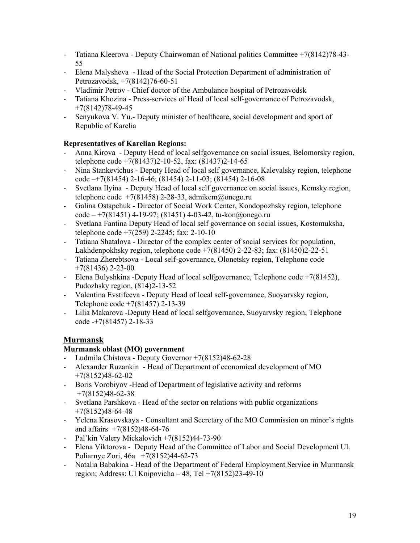- Tatiana Kleerova Deputy Chairwoman of National politics Committee +7(8142)78-43- 55
- Elena Malysheva Head of the Social Protection Department of administration of Petrozavodsk, +7(8142)76-60-51
- Vladimir Petrov Chief doctor of the Ambulance hospital of Petrozavodsk
- Tatiana Khozina Press-services of Head of local self-governance of Petrozavodsk,  $+7(8142)78-49-45$
- Senyukova V. Yu.- Deputy minister of healthcare, social development and sport of Republic of Karelia

### **Representatives of Karelian Regions:**

- Anna Kirova Deputy Head of local selfgovernance on social issues, Belomorsky region, telephone code +7(81437)2-10-52, fax: (81437)2-14-65
- Nina Stankevichus Deputy Head of local self governance, Kalevalsky region, telephone code –+7(81454) 2-16-46; (81454) 2-11-03; (81454) 2-16-08
- Svetlana Ilyina Deputy Head of local self governance on social issues, Kemsky region, telephone code  $+7(81458)$  2-28-33, admikem@onego.ru
- Galina Ostapchuk Director of Social Work Center, Kondopozhsky region, telephone  $code - +7(81451)$  4-19-97; (81451) 4-03-42, tu-kon@onego.ru
- Svetlana Fantina Deputy Head of local self governance on social issues, Kostomuksha, telephone code +7(259) 2-2245; fax: 2-10-10
- Tatiana Shatalova Director of the complex center of social services for population, Lakhdenpokhsky region, telephone code +7(81450) 2-22-83; fax: (81450)2-22-51
- Tatiana Zherebtsova Local self-governance, Olonetsky region, Telephone code  $+7(81436)$  2-23-00
- Elena Bulyshkina -Deputy Head of local selfgovernance, Telephone code +7(81452), Pudozhsky region, (814)2-13-52
- Valentina Evstifeeva Deputy Head of local self-governance, Suoyarvsky region, Telephone code +7(81457) 2-13-39
- Lilia Makarova -Deputy Head of local selfgovernance, Suoyarvsky region, Telephone code -+7(81457) 2-18-33

# **Murmansk**

### **Murmansk oblast (МО) government**

- Ludmila Chistova Deputy Governor +7(8152)48-62-28
- Alexander Ruzankin Head of Department of economical development of MO +7(8152)48-62-02
- Boris Vorobiyov -Head of Department of legislative activity and reforms +7(8152)48-62-38
- Svetlana Parshkova Head of the sector on relations with public organizations +7(8152)48-64-48
- Yelena Krasovskaya Consultant and Secretary of the МО Commission on minor's rights and affairs +7(8152)48-64-76
- Pal'kin Valery Mickalovich +7(8152)44-73-90
- Elena Viktorova Deputy Head of the Committee of Labor and Social Development Ul. Poliarnye Zori, 46a +7(8152)44-62-73
- Natalia Babakina Head of the Department of Federal Employment Service in Murmansk region; Address: Ul Knipovicha – 48, Tel +7(8152)23-49-10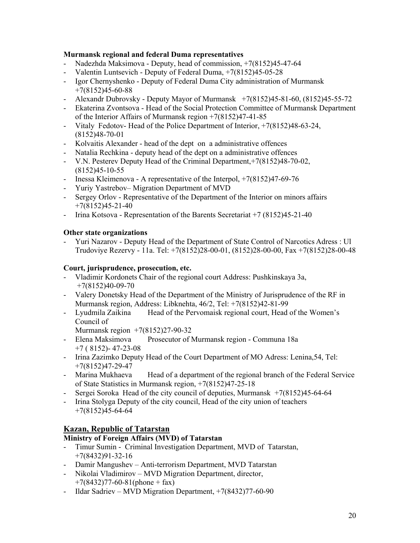#### **Murmansk regional and federal Duma representatives**

- Nadezhda Maksimova Deputy, head of commission, +7(8152)45-47-64
- Valentin Luntsevich Deputy of Federal Duma, +7(8152)45-05-28
- Igor Chernyshenko Deputy of Federal Duma City administration of Murmansk  $+7(8152)45-60-88$
- Alexandr Dubrovsky Deputy Mayor of Murmansk +7(8152)45-81-60, (8152)45-55-72
- Ekaterina Zvontsova Head of the Social Protection Committee of Murmansk Department of the Interior Affairs of Murmansk region +7(8152)47-41-85
- Vitaly Fedotov- Head of the Police Department of Interior, +7(8152)48-63-24, (8152)48-70-01
- Kolvaitis Alexander head of the dept on a administrative offences
- Natalia Rechkina deputy head of the dept on a administrative offences
- V.N. Pesterev Deputy Head of the Criminal Department,+7(8152)48-70-02, (8152)45-10-55
- Inessa Kleimenova A representative of the Interpol, +7(8152)47-69-76
- Yuriy Yastrebov– Migration Department of MVD
- Sergey Orlov Representative of the Department of the Interior on minors affairs  $+7(8152)45-21-40$
- Irina Kotsova Representation of the Barents Secretariat +7 (8152)45-21-40

### **Other state organizations**

- Yuri Nazarov - Deputy Head of the Department of State Control of Narcotics Adress : Ul Trudoviye Rezervy - 11а. Tel: +7(8152)28-00-01, (8152)28-00-00, Fax +7(8152)28-00-48

#### **Court, jurisprudence, prosecution, etc.**

- Vladimir Kordonets Chair of the regional court Address: Pushkinskaya 3а, +7(8152)40-09-70
- Valery Donetsky Head of the Department of the Ministry of Jurisprudence of the RF in Murmansk region, Address: Libknehta, 46/2, Tel: +7(8152)42-81-99
- Lyudmila Zaikina Head of the Pervomaisk regional court, Head of the Women's Council of

Murmansk region +7(8152)27-90-32

- Elena Maksimova Prosecutor of Murmansk region Communa 18a +7 ( 8152)- 47-23-08
- Irina Zazimko Deputy Head of the Court Department of MO Adress: Lenina,54, Tel: +7(8152)47-29-47
- Marina Mukhaeva Head of a department of the regional branch of the Federal Service of State Statistics in Murmansk region, +7(8152)47-25-18
- Sergei Soroka Head of the city council of deputies, Murmansk +7(8152)45-64-64
- Irina Stolyga Deputy of the city council, Head of the city union of teachers +7(8152)45-64-64

### **Kazan, Republic of Tatarstan**

#### **Ministry of Foreign Affairs (MVD) of Tatarstan**

- Timur Sumin Criminal Investigation Department, MVD of Tatarstan, +7(8432)91-32-16
- Damir Mangushev Anti-terrorism Department, MVD Tatarstan
- Nikolai Vladimirov MVD Migration Department, director,  $+7(8432)77-60-81(phone + fax)$
- Ildar Sadriev MVD Migration Department, +7(8432)77-60-90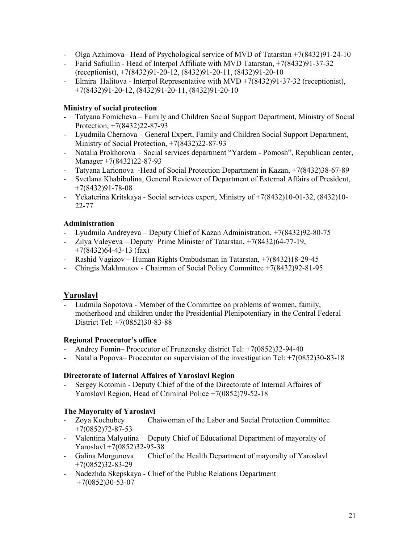- Olga Azhimova– Head of Psychological service of MVD of Tatarstan +7(8432)91-24-10
- Farid Safiullin Head of Interpol Affiliate with MVD Tatarstan, +7(8432)91-37-32 (receptionist), +7(8432)91-20-12, (8432)91-20-11, (8432)91-20-10
- Elmira Halitova Interpol Representative with MVD +7(8432)91-37-32 (receptionist), +7(8432)91-20-12, (8432)91-20-11, (8432)91-20-10

#### **Ministry of social protection**

- Tatyana Fomicheva Family and Children Social Support Department, Ministry of Social Protection, +7(8432)22-87-93
- Lyudmila Chernova General Expert, Family and Children Social Support Department, Ministry of Social Protection, +7(8432)22-87-93
- Natalia Prokhorova Social services department "Yardem Pomosh", Republican center, Manager +7(8432)22-87-93
- Tatyana Larionova -Head of Social Protection Department in Kazan, +7(8432)38-67-89
- Svetlana Khabibulina, General Reviewer of Department of External Affairs of President, +7(8432)91-78-08
- Yekaterina Kritskaya Social services expert, Ministry of +7(8432)10-01-32, (8432)10- 22-77

#### **Administration**

- Lyudmila Andreyeva Deputy Chief of Kazan Administration, +7(8432)92-80-75
- Zilya Valeyeva Deputy Prime Minister of Tatarstan, +7(8432)64-77-19,  $+7(8432)64-43-13$  (fax)
- Rashid Vagizov Human Rights Ombudsman in Tatarstan, +7(8432)18-29-45
- Chingis Makhmutov Chairman of Social Policy Committee +7(8432)92-81-95

#### **Yaroslavl**

Ludmila Sopotova - Member of the Committee on problems of women, family, motherhood and children under the Presidential Plenipotentiary in the Central Federal District Tel: +7(0852)30-83-88

#### **Regional Procecutor's office**

- Andrey Fomin– Procecutor of Frunzensky district Tel: +7(0852)32-94-40
- Natalia Popova– Procecutor on supervision of the investigation Tel: +7(0852)30-83-18

#### **Directorate of Internal Affaires of Yaroslavl Region**

- Sergey Kotomin - Deputy Chief of the of the Directorate of Internal Affaires of Yaroslavl Region, Head of Criminal Police +7(0852)79-52-18

#### **The Mayoralty of Yaroslavl**

- Zoya Kochubey Chaiwoman of the Labor and Social Protection Committee +7(0852)72-87-53
- Valentina Malyutina Deputy Chief of Educational Department of mayoralty of Yaroslavl +7(0852)32-95-38<br>- Galina Morgunova Chief
- Chief of the Health Department of mayoralty of Yaroslavl +7(0852)32-83-29
- Nadezhda Skepskaya Chief of the Public Relations Department  $+7(0852)30-53-07$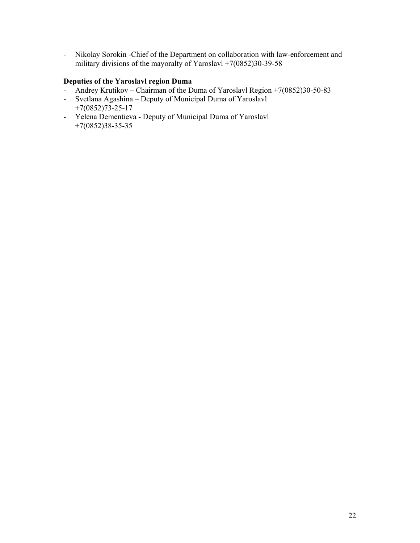- Nikolay Sorokin -Chief of the Department on collaboration with law-enforcement and military divisions of the mayoralty of Yaroslavl  $+7(0852)30-39-58$ 

### **Deputies of the Yaroslavl region Duma**

- Andrey Krutikov Chairman of the Duma of Yaroslavl Region +7(0852)30-50-83
- Svetlana Agashina Deputy of Municipal Duma of Yaroslavl +7(0852)73-25-17
- Yelena Dementieva Deputy of Municipal Duma of Yaroslavl +7(0852)38-35-35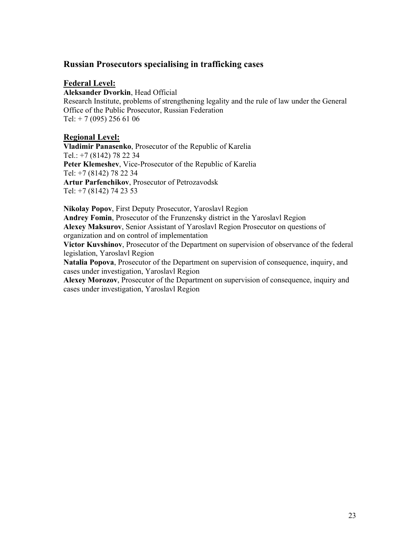### **Russian Prosecutors specialising in trafficking cases**

#### **Federal Level:**

**Aleksander Dvorkin**, Head Official Research Institute, problems of strengthening legality and the rule of law under the General Office of the Public Prosecutor, Russian Federation Tel: + 7 (095) 256 61 06

#### **Regional Level:**

**Vladimir Panasenko**, Prosecutor of the Republic of Karelia Tel.: +7 (8142) 78 22 34 **Peter Klemeshev**, Vice-Prosecutor of the Republic of Karelia Tel: +7 (8142) 78 22 34 **Artur Parfenchikov**, Prosecutor of Petrozavodsk Tel: +7 (8142) 74 23 53

**Nikolay Popov**, First Deputy Prosecutor, Yaroslavl Region **Andrey Fomin**, Prosecutor of the Frunzensky district in the Yaroslavl Region **Alexey Maksurov**, Senior Assistant of Yaroslavl Region Prosecutor on questions of organization and on control of implementation

**Victor Kuvshinov**, Prosecutor of the Department on supervision of observance of the federal legislation, Yaroslavl Region

**Natalia Popova**, Prosecutor of the Department on supervision of consequence, inquiry, and cases under investigation, Yaroslavl Region

**Alexey Morozov**, Prosecutor of the Department on supervision of consequence, inquiry and cases under investigation, Yaroslavl Region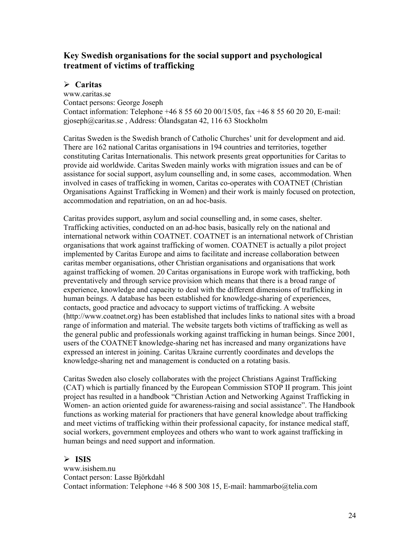# **Key Swedish organisations for the social support and psychological treatment of victims of trafficking**

### ¾ **Caritas**

www.caritas.se Contact persons: George Joseph Contact information: Telephone +46 8 55 60 20 00/15/05, fax +46 8 55 60 20 20, E-mail: gjoseph@caritas.se , Address: Ölandsgatan 42, 116 63 Stockholm

Caritas Sweden is the Swedish branch of Catholic Churches' unit for development and aid. There are 162 national Caritas organisations in 194 countries and territories, together constituting Caritas Internationalis. This network presents great opportunities for Caritas to provide aid worldwide. Caritas Sweden mainly works with migration issues and can be of assistance for social support, asylum counselling and, in some cases, accommodation. When involved in cases of trafficking in women, Caritas co-operates with COATNET (Christian Organisations Against Trafficking in Women) and their work is mainly focused on protection, accommodation and repatriation, on an ad hoc-basis.

Caritas provides support, asylum and social counselling and, in some cases, shelter. Trafficking activities, conducted on an ad-hoc basis, basically rely on the national and international network within COATNET. COATNET is an international network of Christian organisations that work against trafficking of women. COATNET is actually a pilot project implemented by Caritas Europe and aims to facilitate and increase collaboration between caritas member organisations, other Christian organisations and organisations that work against trafficking of women. 20 Caritas organisations in Europe work with trafficking, both preventatively and through service provision which means that there is a broad range of experience, knowledge and capacity to deal with the different dimensions of trafficking in human beings. A database has been established for knowledge-sharing of experiences, contacts, good practice and advocacy to support victims of trafficking. A website (http://www.coatnet.org) has been established that includes links to national sites with a broad range of information and material. The website targets both victims of trafficking as well as the general public and professionals working against trafficking in human beings. Since 2001, users of the COATNET knowledge-sharing net has increased and many organizations have expressed an interest in joining. Caritas Ukraine currently coordinates and develops the knowledge-sharing net and management is conducted on a rotating basis.

Caritas Sweden also closely collaborates with the project Christians Against Trafficking (CAT) which is partially financed by the European Commission STOP II program. This joint project has resulted in a handbook "Christian Action and Networking Against Trafficking in Women- an action oriented guide for awareness-raising and social assistance". The Handbook functions as working material for practioners that have general knowledge about trafficking and meet victims of trafficking within their professional capacity, for instance medical staff, social workers, government employees and others who want to work against trafficking in human beings and need support and information.

### $\triangleright$  **ISIS**

www.isishem.nu Contact person: Lasse Björkdahl Contact information: Telephone +46 8 500 308 15, E-mail: hammarbo@telia.com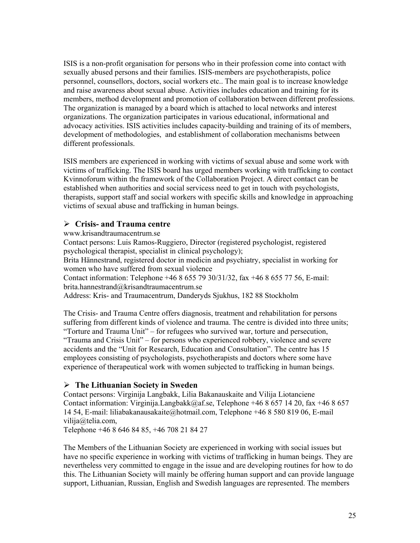ISIS is a non-profit organisation for persons who in their profession come into contact with sexually abused persons and their families. ISIS-members are psychotherapists, police personnel, counsellors, doctors, social workers etc.. The main goal is to increase knowledge and raise awareness about sexual abuse. Activities includes education and training for its members, method development and promotion of collaboration between different professions. The organization is managed by a board which is attached to local networks and interest organizations. The organization participates in various educational, informational and advocacy activities. ISIS activities includes capacity-building and training of its of members, development of methodologies, and establishment of collaboration mechanisms between different professionals.

ISIS members are experienced in working with victims of sexual abuse and some work with victims of trafficking. The ISIS board has urged members working with trafficking to contact Kvinnoforum within the framework of the Collaboration Project. A direct contact can be established when authorities and social servicess need to get in touch with psychologists, therapists, support staff and social workers with specific skills and knowledge in approaching victims of sexual abuse and trafficking in human beings.

### ¾ **Crisis- and Trauma centre**

www.krisandtraumacentrum.se

Contact persons: Luis Ramos-Ruggiero, Director (registered psychologist, registered psychological therapist, specialist in clinical psychology);

Brita Hännestrand, registered doctor in medicin and psychiatry, specialist in working for women who have suffered from sexual violence

Contact information: Telephone +46 8 655 79 30/31/32, fax +46 8 655 77 56, E-mail: brita.hannestrand@krisandtraumacentrum.se

Address: Kris- and Traumacentrum, Danderyds Sjukhus, 182 88 Stockholm

The Crisis- and Trauma Centre offers diagnosis, treatment and rehabilitation for persons suffering from different kinds of violence and trauma. The centre is divided into three units; "Torture and Trauma Unit" – for refugees who survived war, torture and persecution, "Trauma and Crisis Unit" – for persons who experienced robbery, violence and severe accidents and the "Unit for Research, Education and Consultation". The centre has 15 employees consisting of psychologists, psychotherapists and doctors where some have experience of therapeutical work with women subjected to trafficking in human beings.

### ¾ **The Lithuanian Society in Sweden**

Contact persons: Virginija Langbakk, Lilia Bakanauskaite and Vilija Liotanciene Contact information: Virginija.Langbakk@af.se, Telephone +46 8 657 14 20, fax +46 8 657 14 54, E-mail: liliabakanausakaite@hotmail.com, Telephone +46 8 580 819 06, E-mail vilija@telia.com,

Telephone +46 8 646 84 85, +46 708 21 84 27

The Members of the Lithuanian Society are experienced in working with social issues but have no specific experience in working with victims of trafficking in human beings. They are nevertheless very committed to engage in the issue and are developing routines for how to do this. The Lithuanian Society will mainly be offering human support and can provide language support, Lithuanian, Russian, English and Swedish languages are represented. The members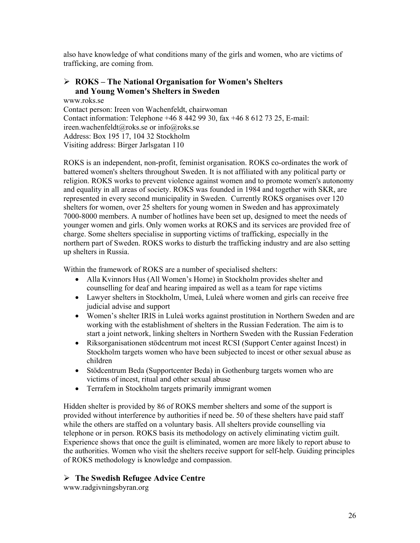also have knowledge of what conditions many of the girls and women, who are victims of trafficking, are coming from.

### ¾ **ROKS – The National Organisation for Women's Shelters and Young Women's Shelters in Sweden**

www.roks.se Contact person: Ireen von Wachenfeldt, chairwoman Contact information: Telephone +46 8 442 99 30, fax +46 8 612 73 25, E-mail: ireen.wachenfeldt@roks.se or info@roks.se Address: Box 195 17, 104 32 Stockholm Visiting address: Birger Jarlsgatan 110

ROKS is an independent, non-profit, feminist organisation. ROKS co-ordinates the work of battered women's shelters throughout Sweden. It is not affiliated with any political party or religion. ROKS works to prevent violence against women and to promote women's autonomy and equality in all areas of society. ROKS was founded in 1984 and together with SKR, are represented in every second municipality in Sweden. Currently ROKS organises over 120 shelters for women, over 25 shelters for young women in Sweden and has approximately 7000-8000 members. A number of hotlines have been set up, designed to meet the needs of younger women and girls. Only women works at ROKS and its services are provided free of charge. Some shelters specialise in supporting victims of trafficking, especially in the northern part of Sweden. ROKS works to disturb the trafficking industry and are also setting up shelters in Russia.

Within the framework of ROKS are a number of specialised shelters:

- Alla Kvinnors Hus (All Women's Home) in Stockholm provides shelter and counselling for deaf and hearing impaired as well as a team for rape victims
- Lawyer shelters in Stockholm, Umeå, Luleå where women and girls can receive free judicial advise and support
- Women's shelter IRIS in Luleå works against prostitution in Northern Sweden and are working with the establishment of shelters in the Russian Federation. The aim is to start a joint network, linking shelters in Northern Sweden with the Russian Federation
- Riksorganisationen stödcentrum mot incest RCSI (Support Center against Incest) in Stockholm targets women who have been subjected to incest or other sexual abuse as children
- Stödcentrum Beda (Supportcenter Beda) in Gothenburg targets women who are victims of incest, ritual and other sexual abuse
- Terrafem in Stockholm targets primarily immigrant women

Hidden shelter is provided by 86 of ROKS member shelters and some of the support is provided without interference by authorities if need be. 50 of these shelters have paid staff while the others are staffed on a voluntary basis. All shelters provide counselling via telephone or in person. ROKS basis its methodology on actively eliminating victim guilt. Experience shows that once the guilt is eliminated, women are more likely to report abuse to the authorities. Women who visit the shelters receive support for self-help. Guiding principles of ROKS methodology is knowledge and compassion.

### ¾ **The Swedish Refugee Advice Centre**

www.radgivningsbyran.org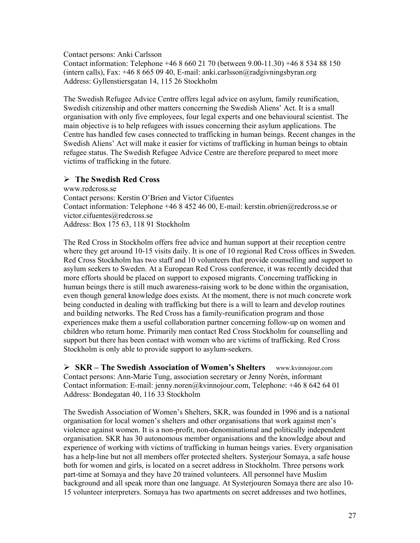Contact persons: Anki Carlsson

Contact information: Telephone +46 8 660 21 70 (between 9.00-11.30) +46 8 534 88 150 (intern calls), Fax: +46 8 665 09 40, E-mail: anki.carlsson@radgivningsbyran.org Address: Gyllenstiersgatan 14, 115 26 Stockholm

The Swedish Refugee Advice Centre offers legal advice on asylum, family reunification, Swedish citizenship and other matters concerning the Swedish Aliens' Act. It is a small organisation with only five employees, four legal experts and one behavioural scientist. The main objective is to help refugees with issues concerning their asylum applications. The Centre has handled few cases connected to trafficking in human beings. Recent changes in the Swedish Aliens' Act will make it easier for victims of trafficking in human beings to obtain refugee status. The Swedish Refugee Advice Centre are therefore prepared to meet more victims of trafficking in the future.

#### ¾ **The Swedish Red Cross**

www.redcross.se Contact persons: Kerstin O'Brien and Victor Cifuentes Contact information: Telephone +46 8 452 46 00, E-mail: kerstin.obrien@redcross.se or victor.cifuentes@redcross.se Address: Box 175 63, 118 91 Stockholm

The Red Cross in Stockholm offers free advice and human support at their reception centre where they get around 10-15 visits daily. It is one of 10 regional Red Cross offices in Sweden. Red Cross Stockholm has two staff and 10 volunteers that provide counselling and support to asylum seekers to Sweden. At a European Red Cross conference, it was recently decided that more efforts should be placed on support to exposed migrants. Concerning trafficking in human beings there is still much awareness-raising work to be done within the organisation, even though general knowledge does exists. At the moment, there is not much concrete work being conducted in dealing with trafficking but there is a will to learn and develop routines and building networks. The Red Cross has a family-reunification program and those experiences make them a useful collaboration partner concerning follow-up on women and children who return home. Primarily men contact Red Cross Stockholm for counselling and support but there has been contact with women who are victims of trafficking. Red Cross Stockholm is only able to provide support to asylum-seekers.

¾ **SKR – The Swedish Association of Women's Shelters** www.kvinnojour.com Contact persons: Ann-Marie Tung, association secretary or Jenny Norén, informant Contact information: E-mail: jenny.noren@kvinnojour.com, Telephone: +46 8 642 64 01 Address: Bondegatan 40, 116 33 Stockholm

The Swedish Association of Women's Shelters, SKR, was founded in 1996 and is a national organisation for local women's shelters and other organisations that work against men's violence against women. It is a non-profit, non-denominational and politically independent organisation. SKR has 30 autonomous member organisations and the knowledge about and experience of working with victims of trafficking in human beings varies. Every organisation has a help-line but not all members offer protected shelters. Systerjour Somaya, a safe house both for women and girls, is located on a secret address in Stockholm. Three persons work part-time at Somaya and they have 20 trained volunteers. All personnel have Muslim background and all speak more than one language. At Systerjouren Somaya there are also 10- 15 volunteer interpreters. Somaya has two apartments on secret addresses and two hotlines,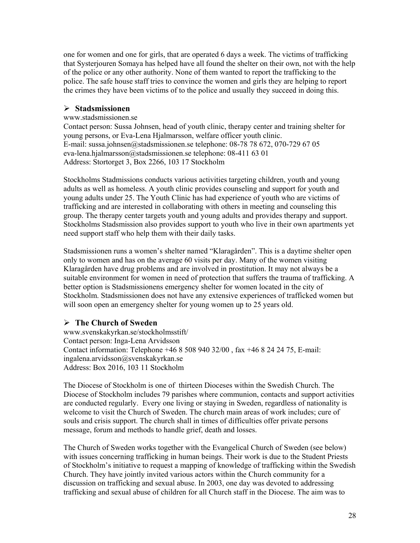one for women and one for girls, that are operated 6 days a week. The victims of trafficking that Systerjouren Somaya has helped have all found the shelter on their own, not with the help of the police or any other authority. None of them wanted to report the trafficking to the police. The safe house staff tries to convince the women and girls they are helping to report the crimes they have been victims of to the police and usually they succeed in doing this.

#### ¾ **Stadsmissionen**

#### www.stadsmissionen.se

Contact person: Sussa Johnsen, head of youth clinic, therapy center and training shelter for young persons, or Eva-Lena Hjalmarsson, welfare officer youth clinic. E-mail: sussa.johnsen@stadsmissionen.se telephone: 08-78 78 672, 070-729 67 05 eva-lena.hjalmarsson@stadsmissionen.se telephone: 08-411 63 01 Address: Stortorget 3, Box 2266, 103 17 Stockholm

Stockholms Stadmissions conducts various activities targeting children, youth and young adults as well as homeless. A youth clinic provides counseling and support for youth and young adults under 25. The Youth Clinic has had experience of youth who are victims of trafficking and are interested in collaborating with others in meeting and counseling this group. The therapy center targets youth and young adults and provides therapy and support. Stockholms Stadsmission also provides support to youth who live in their own apartments yet need support staff who help them with their daily tasks.

Stadsmissionen runs a women's shelter named "Klaragården". This is a daytime shelter open only to women and has on the average 60 visits per day. Many of the women visiting Klaragården have drug problems and are involved in prostitution. It may not always be a suitable environment for women in need of protection that suffers the trauma of trafficking. A better option is Stadsmissionens emergency shelter for women located in the city of Stockholm. Stadsmissionen does not have any extensive experiences of trafficked women but will soon open an emergency shelter for young women up to 25 years old.

#### ¾ **The Church of Sweden**

www.svenskakyrkan.se/stockholmsstift/ Contact person: Inga-Lena Arvidsson Contact information: Telephone +46 8 508 940 32/00 , fax +46 8 24 24 75, E-mail: ingalena.arvidsson@svenskakyrkan.se Address: Box 2016, 103 11 Stockholm

The Diocese of Stockholm is one of thirteen Dioceses within the Swedish Church. The Diocese of Stockholm includes 79 parishes where communion, contacts and support activities are conducted regularly. Every one living or staying in Sweden, regardless of nationality is welcome to visit the Church of Sweden. The church main areas of work includes; cure of souls and crisis support. The church shall in times of difficulties offer private persons message, forum and methods to handle grief, death and losses.

The Church of Sweden works together with the Evangelical Church of Sweden (see below) with issues concerning trafficking in human beings. Their work is due to the Student Priests of Stockholm's initiative to request a mapping of knowledge of trafficking within the Swedish Church. They have jointly invited various actors within the Church community for a discussion on trafficking and sexual abuse. In 2003, one day was devoted to addressing trafficking and sexual abuse of children for all Church staff in the Diocese. The aim was to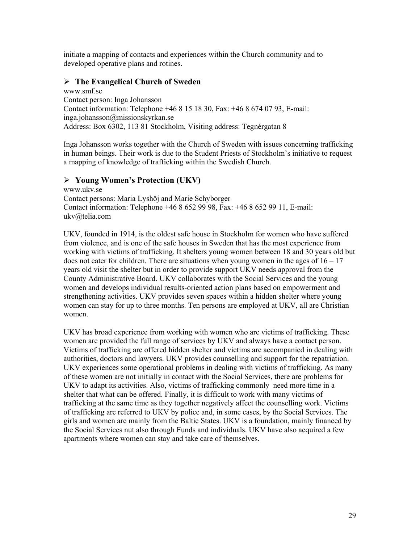initiate a mapping of contacts and experiences within the Church community and to developed operative plans and rotines.

### ¾ **The Evangelical Church of Sweden**

www.smf.se Contact person: Inga Johansson Contact information: Telephone +46 8 15 18 30, Fax: +46 8 674 07 93, E-mail: inga.johansson@missionskyrkan.se Address: Box 6302, 113 81 Stockholm, Visiting address: Tegnérgatan 8

Inga Johansson works together with the Church of Sweden with issues concerning trafficking in human beings. Their work is due to the Student Priests of Stockholm's initiative to request a mapping of knowledge of trafficking within the Swedish Church.

### ¾ **Young Women's Protection (UKV)**

www.ukv.se Contact persons: Maria Lyshöj and Marie Schyborger Contact information: Telephone +46 8 652 99 98, Fax: +46 8 652 99 11, E-mail: ukv@telia.com

UKV, founded in 1914, is the oldest safe house in Stockholm for women who have suffered from violence, and is one of the safe houses in Sweden that has the most experience from working with victims of trafficking. It shelters young women between 18 and 30 years old but does not cater for children. There are situations when young women in the ages of  $16 - 17$ years old visit the shelter but in order to provide support UKV needs approval from the County Administrative Board. UKV collaborates with the Social Services and the young women and develops individual results-oriented action plans based on empowerment and strengthening activities. UKV provides seven spaces within a hidden shelter where young women can stay for up to three months. Ten persons are employed at UKV, all are Christian women.

UKV has broad experience from working with women who are victims of trafficking. These women are provided the full range of services by UKV and always have a contact person. Victims of trafficking are offered hidden shelter and victims are accompanied in dealing with authorities, doctors and lawyers. UKV provides counselling and support for the repatriation. UKV experiences some operational problems in dealing with victims of trafficking. As many of these women are not initially in contact with the Social Services, there are problems for UKV to adapt its activities. Also, victims of trafficking commonly need more time in a shelter that what can be offered. Finally, it is difficult to work with many victims of trafficking at the same time as they together negatively affect the counselling work. Victims of trafficking are referred to UKV by police and, in some cases, by the Social Services. The girls and women are mainly from the Baltic States. UKV is a foundation, mainly financed by the Social Services nut also through Funds and individuals. UKV have also acquired a few apartments where women can stay and take care of themselves.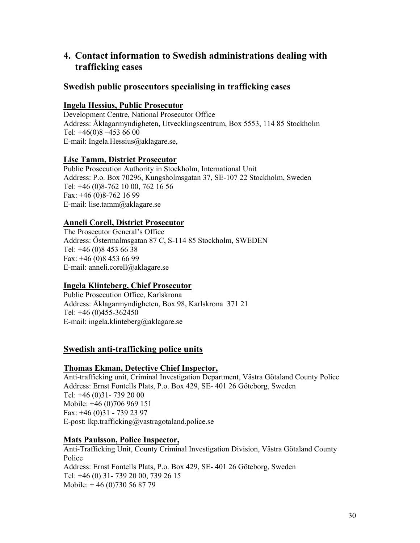# **4. Contact information to Swedish administrations dealing with trafficking cases**

### **Swedish public prosecutors specialising in trafficking cases**

### **Ingela Hessius, Public Prosecutor**

Development Centre, National Prosecutor Office Address: Åklagarmyndigheten, Utvecklingscentrum, Box 5553, 114 85 Stockholm Tel: +46(0)8 –453 66 00 E-mail: Ingela.Hessius@aklagare.se,

### **Lise Tamm, District Prosecutor**

Public Prosecution Authority in Stockholm, International Unit Address: P.o. Box 70296, Kungsholmsgatan 37, SE-107 22 Stockholm, Sweden Tel: +46 (0)8-762 10 00, 762 16 56 Fax: +46 (0)8-762 16 99 E-mail: lise.tamm@aklagare.se

### **Anneli Corell, District Prosecutor**

The Prosecutor General's Office Address: Östermalmsgatan 87 C, S-114 85 Stockholm, SWEDEN Tel: +46 (0)8 453 66 38 Fax: +46 (0)8 453 66 99 E-mail: anneli.corell@aklagare.se

### **Ingela Klinteberg, Chief Prosecutor**

Public Prosecution Office, Karlskrona Address: Åklagarmyndigheten, Box 98, Karlskrona 371 21 Tel: +46 (0)455-362450 E-mail: ingela.klinteberg@aklagare.se

### **Swedish anti-trafficking police units**

#### **Thomas Ekman, Detective Chief Inspector,**

Anti-trafficking unit, Criminal Investigation Department, Västra Götaland County Police Address: Ernst Fontells Plats, P.o. Box 429, SE- 401 26 Göteborg, Sweden Tel: +46 (0)31- 739 20 00 Mobile: +46 (0)706 969 151 Fax: +46 (0)31 - 739 23 97 E-post: lkp.trafficking@vastragotaland.police.se

### **Mats Paulsson, Police Inspector,**

Anti-Trafficking Unit, County Criminal Investigation Division, Västra Götaland County Police Address: Ernst Fontells Plats, P.o. Box 429, SE- 401 26 Göteborg, Sweden Tel: +46 (0) 31- 739 20 00, 739 26 15 Mobile: + 46 (0)730 56 87 79